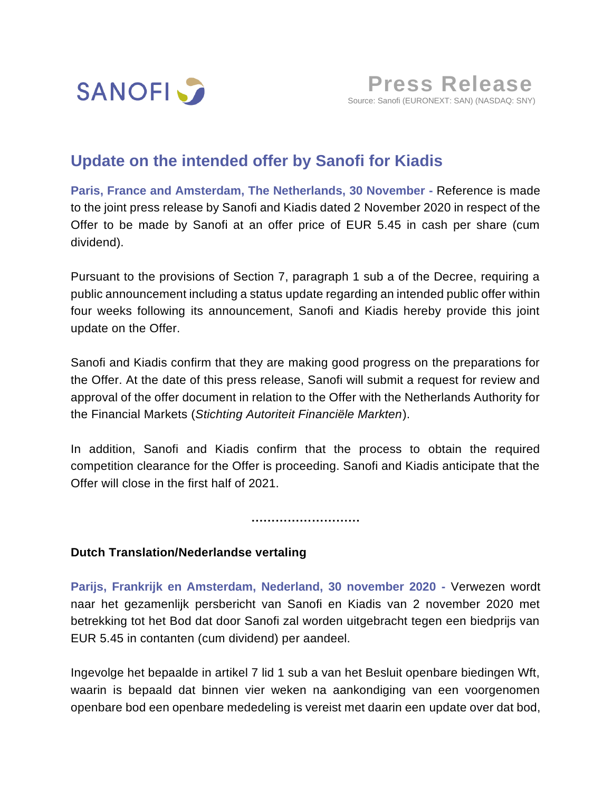

# **Update on the intended offer by Sanofi for Kiadis**

**Paris, France and Amsterdam, The Netherlands, 30 November -** Reference is made to the joint press release by Sanofi and Kiadis dated 2 November 2020 in respect of the Offer to be made by Sanofi at an offer price of EUR 5.45 in cash per share (cum dividend).

Pursuant to the provisions of Section 7, paragraph 1 sub a of the Decree, requiring a public announcement including a status update regarding an intended public offer within four weeks following its announcement, Sanofi and Kiadis hereby provide this joint update on the Offer.

Sanofi and Kiadis confirm that they are making good progress on the preparations for the Offer. At the date of this press release, Sanofi will submit a request for review and approval of the offer document in relation to the Offer with the Netherlands Authority for the Financial Markets (*Stichting Autoriteit Financiële Markten*).

In addition, Sanofi and Kiadis confirm that the process to obtain the required competition clearance for the Offer is proceeding. Sanofi and Kiadis anticipate that the Offer will close in the first half of 2021.

**………………………**

## **Dutch Translation/Nederlandse vertaling**

**Parijs, Frankrijk en Amsterdam, Nederland, 30 november 2020 -** Verwezen wordt naar het gezamenlijk persbericht van Sanofi en Kiadis van 2 november 2020 met betrekking tot het Bod dat door Sanofi zal worden uitgebracht tegen een biedprijs van EUR 5.45 in contanten (cum dividend) per aandeel.

Ingevolge het bepaalde in artikel 7 lid 1 sub a van het Besluit openbare biedingen Wft, waarin is bepaald dat binnen vier weken na aankondiging van een voorgenomen openbare bod een openbare mededeling is vereist met daarin een update over dat bod,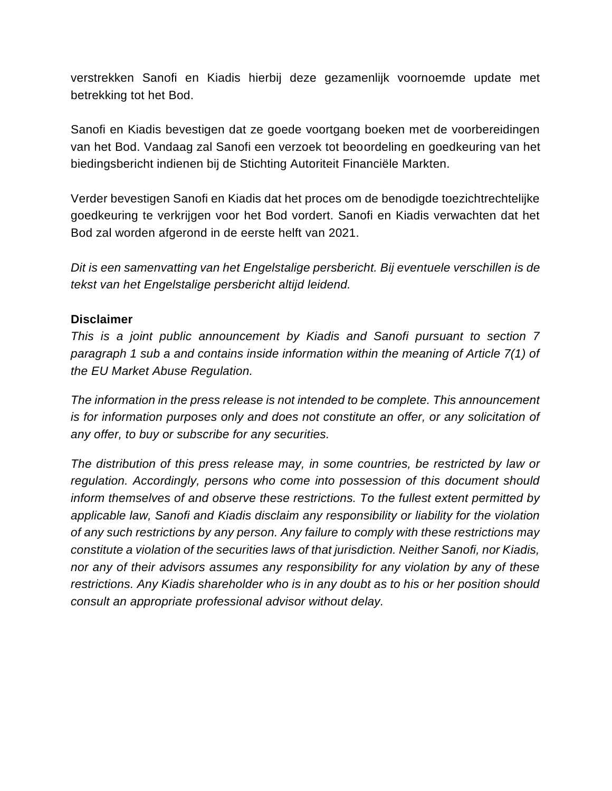verstrekken Sanofi en Kiadis hierbij deze gezamenlijk voornoemde update met betrekking tot het Bod.

Sanofi en Kiadis bevestigen dat ze goede voortgang boeken met de voorbereidingen van het Bod. Vandaag zal Sanofi een verzoek tot beoordeling en goedkeuring van het biedingsbericht indienen bij de Stichting Autoriteit Financiële Markten.

Verder bevestigen Sanofi en Kiadis dat het proces om de benodigde toezichtrechtelijke goedkeuring te verkrijgen voor het Bod vordert. Sanofi en Kiadis verwachten dat het Bod zal worden afgerond in de eerste helft van 2021.

*Dit is een samenvatting van het Engelstalige persbericht. Bij eventuele verschillen is de tekst van het Engelstalige persbericht altijd leidend.*

# **Disclaimer**

*This is a joint public announcement by Kiadis and Sanofi pursuant to section 7 paragraph 1 sub a and contains inside information within the meaning of Article 7(1) of the EU Market Abuse Regulation.* 

*The information in the press release is not intended to be complete. This announcement is for information purposes only and does not constitute an offer, or any solicitation of any offer, to buy or subscribe for any securities.* 

*The distribution of this press release may, in some countries, be restricted by law or regulation. Accordingly, persons who come into possession of this document should inform themselves of and observe these restrictions. To the fullest extent permitted by applicable law, Sanofi and Kiadis disclaim any responsibility or liability for the violation of any such restrictions by any person. Any failure to comply with these restrictions may constitute a violation of the securities laws of that jurisdiction. Neither Sanofi, nor Kiadis, nor any of their advisors assumes any responsibility for any violation by any of these restrictions. Any Kiadis shareholder who is in any doubt as to his or her position should consult an appropriate professional advisor without delay.*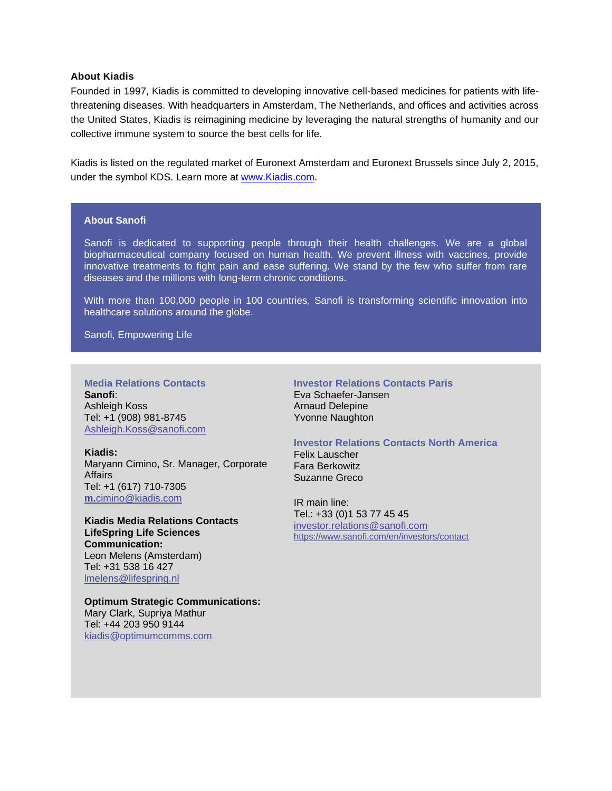### **About Kiadis**

Founded in 1997, Kiadis is committed to developing innovative cell-based medicines for patients with lifethreatening diseases. With headquarters in Amsterdam, The Netherlands, and offices and activities across the United States, Kiadis is reimagining medicine by leveraging the natural strengths of humanity and our collective immune system to source the best cells for life.

Kiadis is listed on the regulated market of Euronext Amsterdam and Euronext Brussels since July 2, 2015, under the symbol KDS. Learn more at [www.Kiadis.com.](http://www.kiadis.com/)

## **About Sanofi**

Sanofi is dedicated to supporting people through their health challenges. We are a global biopharmaceutical company focused on human health. We prevent illness with vaccines, provide innovative treatments to fight pain and ease suffering. We stand by the few who suffer from rare diseases and the millions with long-term chronic conditions.

With more than 100,000 people in 100 countries, Sanofi is transforming scientific innovation into healthcare solutions around the globe.

Sanofi, Empowering Life

### **Media Relations Contacts Sanofi**: Ashleigh Koss Tel: +1 (908) 981-8745 [Ashleigh.Koss@sanofi.com](mailto:Ashleigh.Koss@sanofi.com)

**Kiadis:** Maryann Cimino, Sr. Manager, Corporate Affairs Tel: +1 (617) 710-7305 **m.**[cimino@kiadis.com](mailto:m.cimino@kiadis.com)

**Kiadis Media Relations Contacts LifeSpring Life Sciences Communication:** Leon Melens (Amsterdam) Tel: +31 538 16 427 [lmelens@lifespring.nl](mailto:lmelens@lifespring.nl)

**Optimum Strategic Communications:** Mary Clark, Supriya Mathur Tel: +44 203 950 9144 [kiadis@optimumcomms.com](mailto:kiadis@optimumcomms.com)

**Investor Relations Contacts Paris** Eva Schaefer-Jansen Arnaud Delepine Yvonne Naughton

**Investor Relations Contacts North America**

Felix Lauscher Fara Berkowitz Suzanne Greco

IR main line: Tel.: +33 (0)1 53 77 45 45 [investor.relations@sanofi.com](mailto:investor.relations@sanofi.com) https://www.sanofi.com/en/investors/contact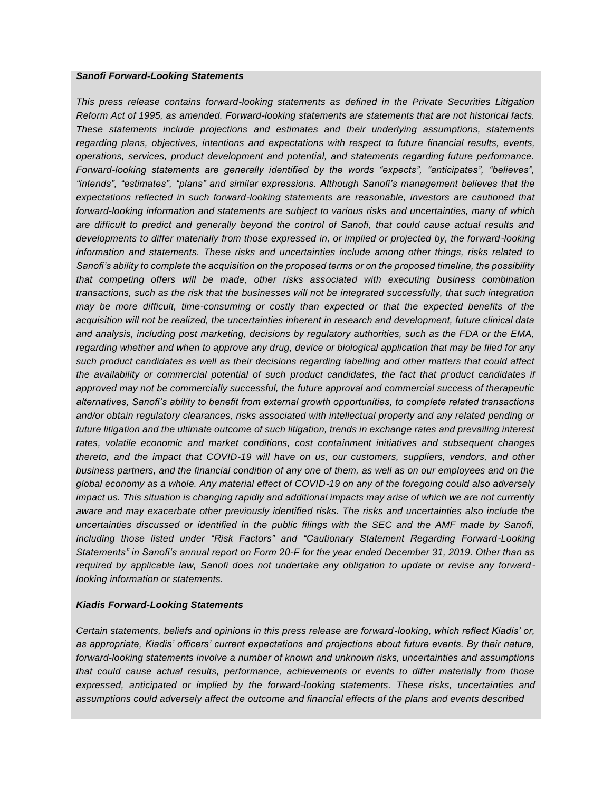#### *Sanofi Forward-Looking Statements*

*This press release contains forward-looking statements as defined in the Private Securities Litigation Reform Act of 1995, as amended. Forward-looking statements are statements that are not historical facts. These statements include projections and estimates and their underlying assumptions, statements regarding plans, objectives, intentions and expectations with respect to future financial results, events, operations, services, product development and potential, and statements regarding future performance. Forward-looking statements are generally identified by the words "expects", "anticipates", "believes", "intends", "estimates", "plans" and similar expressions. Although Sanofi's management believes that the expectations reflected in such forward-looking statements are reasonable, investors are cautioned that forward-looking information and statements are subject to various risks and uncertainties, many of which are difficult to predict and generally beyond the control of Sanofi, that could cause actual results and developments to differ materially from those expressed in, or implied or projected by, the forward-looking information and statements. These risks and uncertainties include among other things, risks related to Sanofi's ability to complete the acquisition on the proposed terms or on the proposed timeline, the possibility that competing offers will be made, other risks associated with executing business combination transactions, such as the risk that the businesses will not be integrated successfully, that such integration may be more difficult, time-consuming or costly than expected or that the expected benefits of the acquisition will not be realized, the uncertainties inherent in research and development, future clinical data and analysis, including post marketing, decisions by regulatory authorities, such as the FDA or the EMA, regarding whether and when to approve any drug, device or biological application that may be filed for any such product candidates as well as their decisions regarding labelling and other matters that could affect the availability or commercial potential of such product candidates, the fact that product candidates if approved may not be commercially successful, the future approval and commercial success of therapeutic alternatives, Sanofi's ability to benefit from external growth opportunities, to complete related transactions and/or obtain regulatory clearances, risks associated with intellectual property and any related pending or future litigation and the ultimate outcome of such litigation, trends in exchange rates and prevailing interest rates, volatile economic and market conditions, cost containment initiatives and subsequent changes thereto, and the impact that COVID-19 will have on us, our customers, suppliers, vendors, and other business partners, and the financial condition of any one of them, as well as on our employees and on the global economy as a whole. Any material effect of COVID-19 on any of the foregoing could also adversely impact us. This situation is changing rapidly and additional impacts may arise of which we are not currently aware and may exacerbate other previously identified risks. The risks and uncertainties also include the uncertainties discussed or identified in the public filings with the SEC and the AMF made by Sanofi, including those listed under "Risk Factors" and "Cautionary Statement Regarding Forward-Looking Statements" in Sanofi's annual report on Form 20-F for the year ended December 31, 2019. Other than as required by applicable law, Sanofi does not undertake any obligation to update or revise any forwardlooking information or statements.*

#### *Kiadis Forward-Looking Statements*

*Certain statements, beliefs and opinions in this press release are forward-looking, which reflect Kiadis' or, as appropriate, Kiadis' officers' current expectations and projections about future events. By their nature, forward-looking statements involve a number of known and unknown risks, uncertainties and assumptions that could cause actual results, performance, achievements or events to differ materially from those expressed, anticipated or implied by the forward-looking statements. These risks, uncertainties and assumptions could adversely affect the outcome and financial effects of the plans and events described*